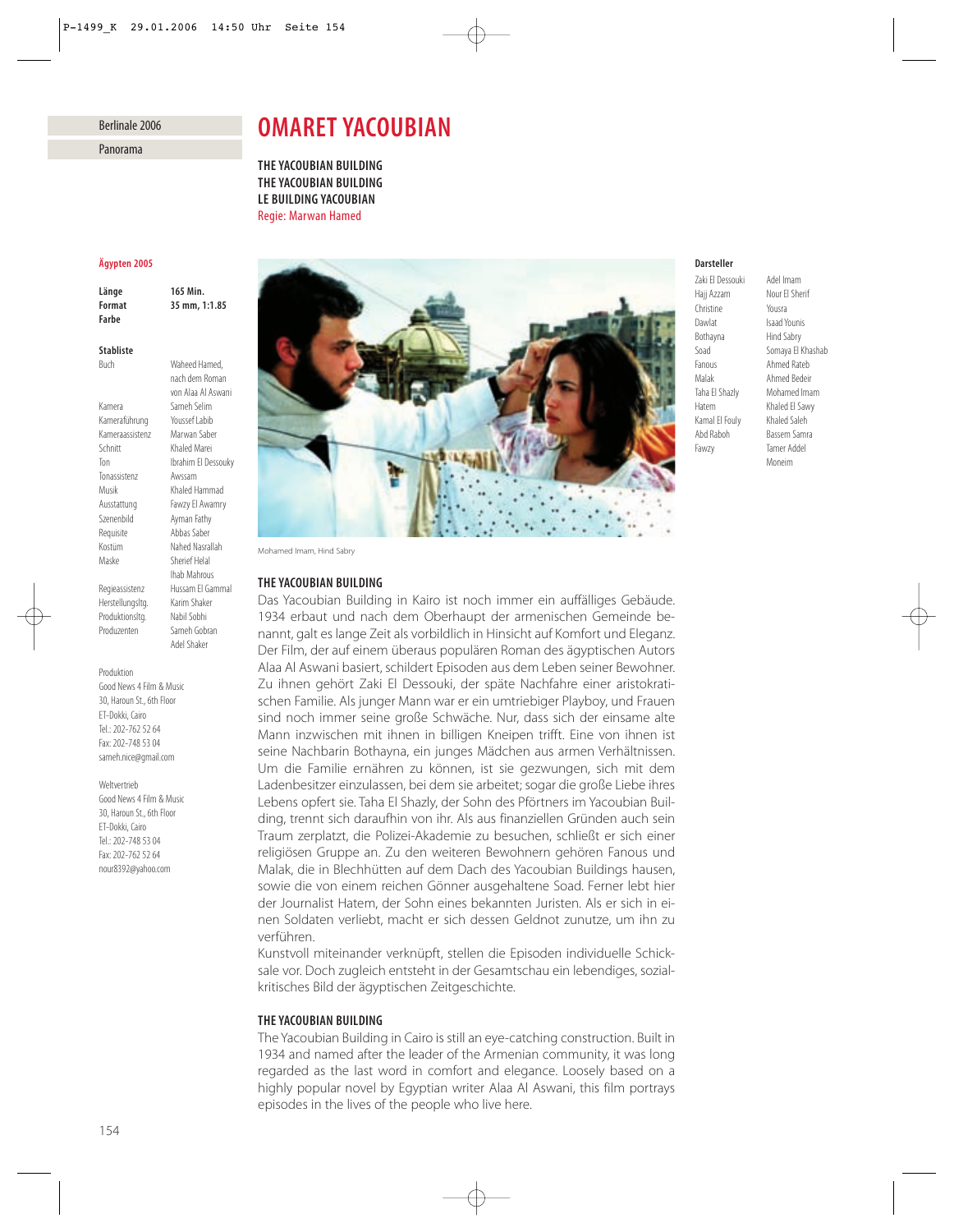# Berlinale 2006

Panorama

# *OMARET YACOUBIAN*

*THE YACOUBIAN BUILDING THE YACOUBIAN BUILDING LE BUILDING YACOUBIAN* Regie: Marwan Hamed

# *Ägypten 2005*

*Länge 165 Min. Format 35 mm, 1:1.85 Farbe*

# *Stabliste*

Buch Waheed Hamed,

nach dem Roman von Alaa Al Aswani

Ihab Mahrous

Adel Shaker

Kamera Sameh Selim<br>Kameraführung Youssef Labib Kameraführung Kameraassistenz Marwan Saber Schnitt Khaled Marei Ton Ibrahim El Dessouky Tonassistenz Awssam Musik Khaled Hammad Ausstattung Fawzy El Awamry Szenenbild Ayman Fathy Requisite Abbas Saber Kostüm Nahed Nasrallah Maske Sherief Helal

Regieassistenz Hussam El Gammal<br>Herstellungsltg – Karim Shaker Herstellungsltg. Produktionsltg. Nabil Sobhi Produzenten Sameh Gobran

#### Produktion

Good News 4 Film & Music 30, Haroun St., 6th Floor ET-Dokki, Cairo Tel.: 202-762 52 64 Fax: 202-748 53 04 sameh.nice@gmail.com

Weltvertrieb

Good News 4 Film & Music 30, Haroun St., 6th Floor ET-Dokki, Cairo Tel.: 202-748 53 04 Fax: 202-762 52 64 nour8392@yahoo.com



Mohamed Imam, Hind Sabry

### *THE YACOUBIAN BUILDING*

Das Yacoubian Building in Kairo ist noch immer ein auffälliges Gebäude. 1934 erbaut und nach dem Oberhaupt der armenischen Gemeinde benannt, galt es lange Zeit als vorbildlich in Hinsicht auf Komfort und Eleganz. Der Film, der auf einem überaus populären Roman des ägyptischen Autors Alaa Al Aswani basiert, schildert Episoden aus dem Leben seiner Bewohner. Zu ihnen gehört Zaki El Dessouki, der späte Nachfahre einer aristokratischen Familie. Als junger Mann war er ein umtriebiger Playboy, und Frauen sind noch immer seine große Schwäche. Nur, dass sich der einsame alte Mann inzwischen mit ihnen in billigen Kneipen trifft. Eine von ihnen ist seine Nachbarin Bothayna, ein junges Mädchen aus armen Verhältnissen. Um die Familie ernähren zu können, ist sie gezwungen, sich mit dem Ladenbesitzer einzulassen, bei dem sie arbeitet; sogar die große Liebe ihres Lebens opfert sie. Taha El Shazly, der Sohn des Pförtners im Yacoubian Building, trennt sich daraufhin von ihr. Als aus finanziellen Gründen auch sein Traum zerplatzt, die Polizei-Akademie zu besuchen, schließt er sich einer religiösen Gruppe an. Zu den weiteren Bewohnern gehören Fanous und Malak, die in Blechhütten auf dem Dach des Yacoubian Buildings hausen, sowie die von einem reichen Gönner ausgehaltene Soad. Ferner lebt hier der Journalist Hatem, der Sohn eines bekannten Juristen. Als er sich in einen Soldaten verliebt, macht er sich dessen Geldnot zunutze, um ihn zu verführen.

Kunstvoll miteinander verknüpft, stellen die Episoden individuelle Schicksale vor. Doch zugleich entsteht in der Gesamtschau ein lebendiges, sozialkritisches Bild der ägyptischen Zeitgeschichte.

# *THE YACOUBIAN BUILDING*

The Yacoubian Building in Cairo is still an eye-catching construction. Built in 1934 and named after the leader of the Armenian community, it was long regarded as the last word in comfort and elegance. Loosely based on a highly popular novel by Egyptian writer Alaa Al Aswani, this film portrays episodes in the lives of the people who live here.

## *Darsteller*

Christine Yousra Dawlat Isaad Younis<br>Bothayna Hind Sabry Fanous Ahmed Rateb Malak Ahmed Bedeir Taha El Shazly Mohamed Imam Hatem Khaled El Sawy<br>
Kamal El Fouly Khaled Saleh Kamal Fl Fouly Abd Raboh Bassem Samra Fawzy Tamer Addel

Zaki El Dessouki Adel Imam<br>Haii Azzam Nour El She Nour Fl Sherif Hind Sabry Soad Somaya El Khashab Moneim